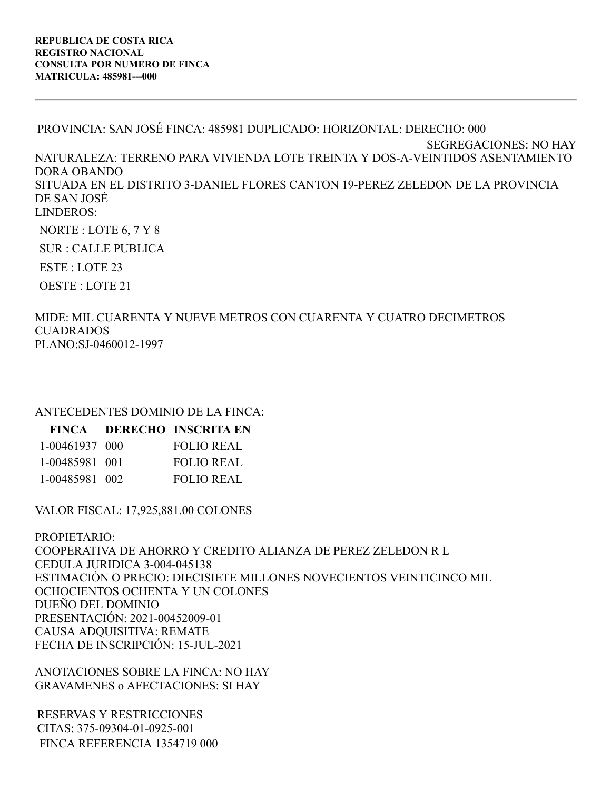PROVINCIA: SAN JOSÉ FINCA: 485981 DUPLICADO: HORIZONTAL: DERECHO: 000 SEGREGACIONES: NO HAY NATURALEZA: TERRENO PARA VIVIENDA LOTE TREINTA Y DOS-A-VEINTIDOS ASENTAMIENTO DORA OBANDO SITUADA EN EL DISTRITO 3-DANIEL FLORES CANTON 19-PEREZ ZELEDON DE LA PROVINCIA DE SAN JOSÉ LINDEROS: NORTE : LOTE 6, 7 Y 8

SUR : CALLE PUBLICA

ESTE : LOTE 23

OESTE : LOTE 21

MIDE: MIL CUARENTA Y NUEVE METROS CON CUARENTA Y CUATRO DECIMETROS CUADRADOS PLANO:SJ-0460012-1997

## ANTECEDENTES DOMINIO DE LA FINCA:

|                | FINCA DERECHO INSCRITA EN |
|----------------|---------------------------|
| 1-00461937 000 | <b>FOLIO REAL</b>         |
| 1-00485981 001 | <b>FOLIO REAL</b>         |
| 1-00485981 002 | <b>FOLIO REAL</b>         |

VALOR FISCAL: 17,925,881.00 COLONES

PROPIETARIO: COOPERATIVA DE AHORRO Y CREDITO ALIANZA DE PEREZ ZELEDON R L CEDULA JURIDICA 3-004-045138 ESTIMACIÓN O PRECIO: DIECISIETE MILLONES NOVECIENTOS VEINTICINCO MIL OCHOCIENTOS OCHENTA Y UN COLONES DUEÑO DEL DOMINIO PRESENTACIÓN: 2021-00452009-01 CAUSA ADQUISITIVA: REMATE FECHA DE INSCRIPCIÓN: 15-JUL-2021

ANOTACIONES SOBRE LA FINCA: NO HAY GRAVAMENES o AFECTACIONES: SI HAY

RESERVAS Y RESTRICCIONES CITAS: 375-09304-01-0925-001 FINCA REFERENCIA 1354719 000